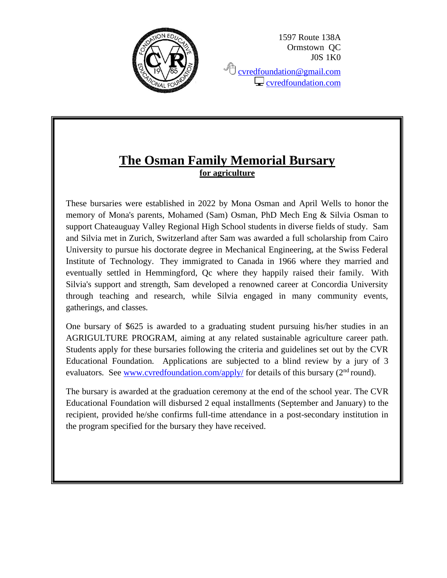

1597 Route 138A Ormstown QC J0S 1K0

<sup></sub><sup></sub> [cvredfoundation@gmail.com](mailto:cvredfoundation@gmail.com)</sup></sup>  $\Box$  [cvredfoundation.com](http://www.cvredfoundation.com/)

## **The Osman Family Memorial Bursary for agriculture**

These bursaries were established in 2022 by Mona Osman and April Wells to honor the memory of Mona's parents, Mohamed (Sam) Osman, PhD Mech Eng & Silvia Osman to support Chateauguay Valley Regional High School students in diverse fields of study. Sam and Silvia met in Zurich, Switzerland after Sam was awarded a full scholarship from Cairo University to pursue his doctorate degree in Mechanical Engineering, at the Swiss Federal Institute of Technology. They immigrated to Canada in 1966 where they married and eventually settled in Hemmingford, Qc where they happily raised their family. With Silvia's support and strength, Sam developed a renowned career at Concordia University through teaching and research, while Silvia engaged in many community events, gatherings, and classes.

One bursary of \$625 is awarded to a graduating student pursuing his/her studies in an AGRIGULTURE PROGRAM, aiming at any related sustainable agriculture career path. Students apply for these bursaries following the criteria and guidelines set out by the CVR Educational Foundation. Applications are subjected to a blind review by a jury of 3 evaluators. See [www.cvredfoundation.com/apply/](http://www.cvredfoundation.com/apply/) for details of this bursary  $(2<sup>nd</sup>$  round).

The bursary is awarded at the graduation ceremony at the end of the school year. The CVR Educational Foundation will disbursed 2 equal installments (September and January) to the recipient, provided he/she confirms full-time attendance in a post-secondary institution in the program specified for the bursary they have received.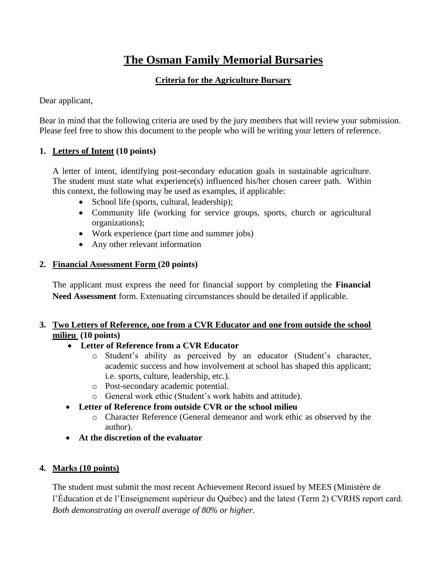# **The Osman Family Memorial Bursaries**

#### **Criteria for the Agriculture Bursary**

Dear applicant,

Bear in mind that the following criteria are used by the jury members that will review your submission. Please feel free to show this document to the people who will be writing your letters of reference.

#### **1. Letters of Intent (10 points)**

A letter of intent, identifying post-secondary education goals in sustainable agriculture. The student must state what experience(s) influenced his/her chosen career path. Within this context, the following may be used as examples, if applicable:

- School life (sports, cultural, leadership);
- Community life (working for service groups, sports, church or agricultural organizations);
- Work experience (part time and summer jobs)
- Any other relevant information

#### **2. Financial Assessment Form (20 points)**

The applicant must express the need for financial support by completing the **Financial Need Assessment** form. Extenuating circumstances should be detailed if applicable.

#### **3. Two Letters of Reference, one from a CVR Educator and one from outside the school milieu (10 points)**

#### • **Letter of Reference from a CVR Educator**

- o Student's ability as perceived by an educator (Student's character, academic success and how involvement at school has shaped this applicant; i.e. sports, culture, leadership, etc.).
- o Post-secondary academic potential.
- o General work ethic (Student's work habits and attitude).

#### • **Letter of Reference from outside CVR or the school milieu**

- o Character Reference (General demeanor and work ethic as observed by the author).
- **At the discretion of the evaluator**

#### **4. Marks (10 points)**

The student must submit the most recent Achievement Record issued by MEES (Ministère de l'Éducation et de l'Enseignement supérieur du Québec) and the latest (Term 2) CVRHS report card. *Both demonstrating an overall average of 80% or higher.*